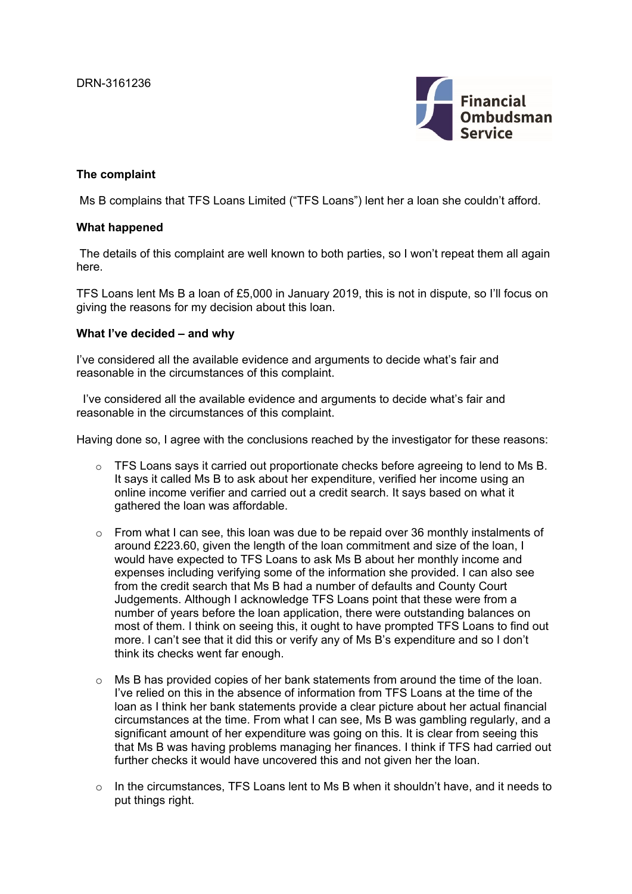

### **The complaint**

Ms B complains that TFS Loans Limited ("TFS Loans") lent her a loan she couldn't afford.

## **What happened**

 The details of this complaint are well known to both parties, so I won't repeat them all again here.

TFS Loans lent Ms B a loan of £5,000 in January 2019, this is not in dispute, so I'll focus on giving the reasons for my decision about this loan.

### **What I've decided – and why**

I've considered all the available evidence and arguments to decide what's fair and reasonable in the circumstances of this complaint.

 I've considered all the available evidence and arguments to decide what's fair and reasonable in the circumstances of this complaint.

Having done so, I agree with the conclusions reached by the investigator for these reasons:

- o TFS Loans says it carried out proportionate checks before agreeing to lend to Ms B. It says it called Ms B to ask about her expenditure, verified her income using an online income verifier and carried out a credit search. It says based on what it gathered the loan was affordable.
- $\circ$  From what I can see, this loan was due to be repaid over 36 monthly instalments of around £223.60, given the length of the loan commitment and size of the loan, I would have expected to TFS Loans to ask Ms B about her monthly income and expenses including verifying some of the information she provided. I can also see from the credit search that Ms B had a number of defaults and County Court Judgements. Although I acknowledge TFS Loans point that these were from a number of years before the loan application, there were outstanding balances on most of them. I think on seeing this, it ought to have prompted TFS Loans to find out more. I can't see that it did this or verify any of Ms B's expenditure and so I don't think its checks went far enough.
- $\circ$  Ms B has provided copies of her bank statements from around the time of the loan. I've relied on this in the absence of information from TFS Loans at the time of the loan as I think her bank statements provide a clear picture about her actual financial circumstances at the time. From what I can see, Ms B was gambling regularly, and a significant amount of her expenditure was going on this. It is clear from seeing this that Ms B was having problems managing her finances. I think if TFS had carried out further checks it would have uncovered this and not given her the loan.
- $\circ$  In the circumstances. TFS Loans lent to Ms B when it shouldn't have, and it needs to put things right.